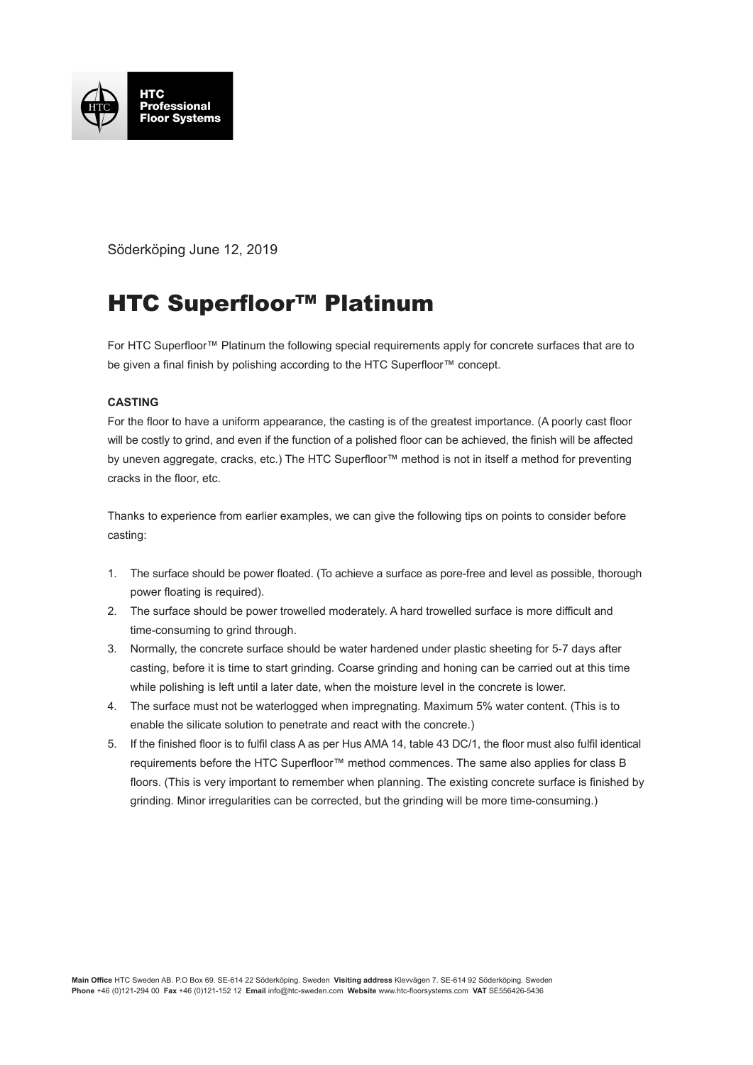

Söderköping June 12, 2019

## HTC Superfloor™ Platinum

For HTC Superfloor™ Platinum the following special requirements apply for concrete surfaces that are to be given a final finish by polishing according to the HTC Superfloor™ concept.

## **CASTING**

For the floor to have a uniform appearance, the casting is of the greatest importance. (A poorly cast floor will be costly to grind, and even if the function of a polished floor can be achieved, the finish will be affected by uneven aggregate, cracks, etc.) The HTC Superfloor™ method is not in itself a method for preventing cracks in the floor, etc.

Thanks to experience from earlier examples, we can give the following tips on points to consider before casting:

- 1. The surface should be power floated. (To achieve a surface as pore-free and level as possible, thorough power floating is required).
- 2. The surface should be power trowelled moderately. A hard trowelled surface is more difficult and time-consuming to grind through.
- 3. Normally, the concrete surface should be water hardened under plastic sheeting for 5-7 days after casting, before it is time to start grinding. Coarse grinding and honing can be carried out at this time while polishing is left until a later date, when the moisture level in the concrete is lower.
- 4. The surface must not be waterlogged when impregnating. Maximum 5% water content. (This is to enable the silicate solution to penetrate and react with the concrete.)
- 5. If the finished floor is to fulfil class A as per Hus AMA 14, table 43 DC/1, the floor must also fulfil identical requirements before the HTC Superfloor™ method commences. The same also applies for class B floors. (This is very important to remember when planning. The existing concrete surface is finished by grinding. Minor irregularities can be corrected, but the grinding will be more time-consuming.)